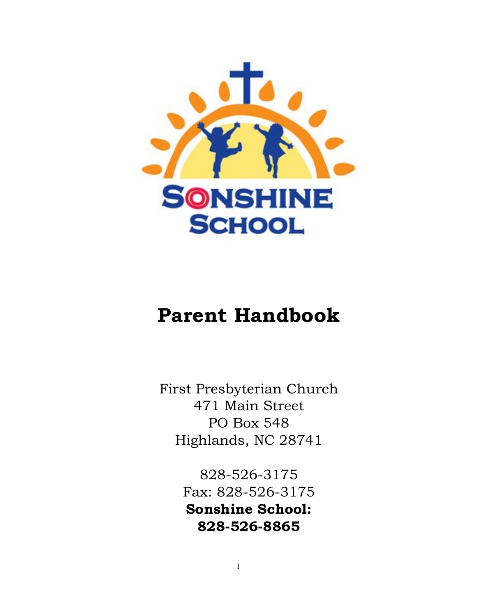

# **Parent Handbook**

First Presbyterian Church 471 Main Street PO Box 548 Highlands, NC 28741

> 828-526-3175 Fax: 828-526-3175 **Sonshine School: 828-526-8865**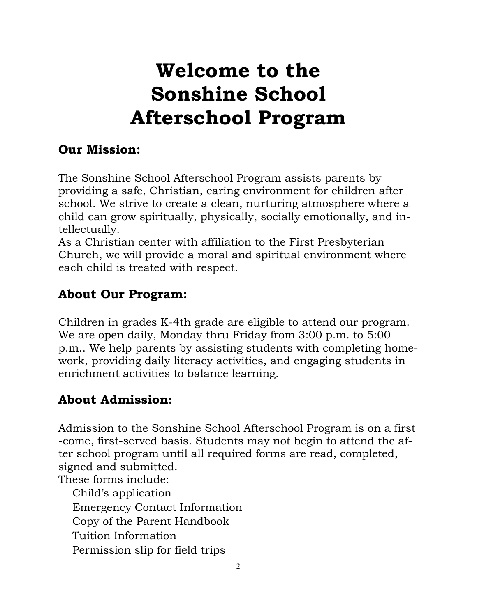# **Welcome to the Sonshine School Afterschool Program**

#### **Our Mission:**

The Sonshine School Afterschool Program assists parents by providing a safe, Christian, caring environment for children after school. We strive to create a clean, nurturing atmosphere where a child can grow spiritually, physically, socially emotionally, and intellectually.

As a Christian center with affiliation to the First Presbyterian Church, we will provide a moral and spiritual environment where each child is treated with respect.

#### **About Our Program:**

Children in grades K-4th grade are eligible to attend our program. We are open daily, Monday thru Friday from 3:00 p.m. to 5:00 p.m.. We help parents by assisting students with completing homework, providing daily literacy activities, and engaging students in enrichment activities to balance learning.

#### **About Admission:**

Admission to the Sonshine School Afterschool Program is on a first -come, first-served basis. Students may not begin to attend the after school program until all required forms are read, completed, signed and submitted.

These forms include:

Child's application Emergency Contact Information Copy of the Parent Handbook Tuition Information Permission slip for field trips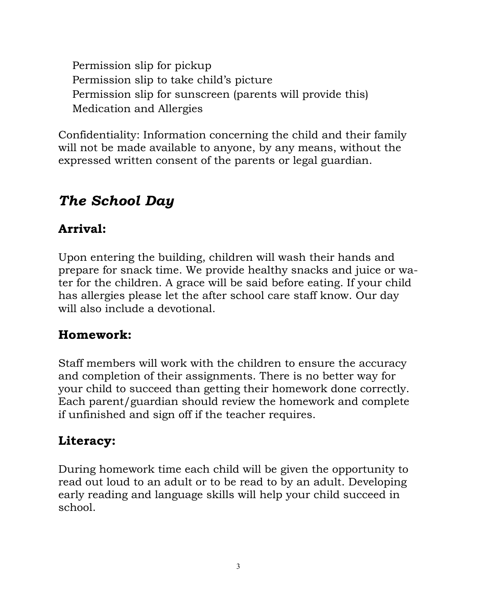Permission slip for pickup Permission slip to take child's picture Permission slip for sunscreen (parents will provide this) Medication and Allergies

Confidentiality: Information concerning the child and their family will not be made available to anyone, by any means, without the expressed written consent of the parents or legal guardian.

# *The School Day*

## **Arrival:**

Upon entering the building, children will wash their hands and prepare for snack time. We provide healthy snacks and juice or water for the children. A grace will be said before eating. If your child has allergies please let the after school care staff know. Our day will also include a devotional.

## **Homework:**

Staff members will work with the children to ensure the accuracy and completion of their assignments. There is no better way for your child to succeed than getting their homework done correctly. Each parent/guardian should review the homework and complete if unfinished and sign off if the teacher requires.

## **Literacy:**

During homework time each child will be given the opportunity to read out loud to an adult or to be read to by an adult. Developing early reading and language skills will help your child succeed in school.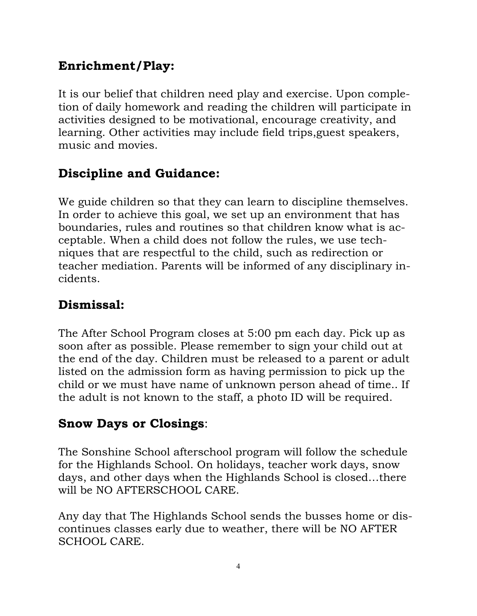## **Enrichment/Play:**

It is our belief that children need play and exercise. Upon completion of daily homework and reading the children will participate in activities designed to be motivational, encourage creativity, and learning. Other activities may include field trips,guest speakers, music and movies.

## **Discipline and Guidance:**

We guide children so that they can learn to discipline themselves. In order to achieve this goal, we set up an environment that has boundaries, rules and routines so that children know what is acceptable. When a child does not follow the rules, we use techniques that are respectful to the child, such as redirection or teacher mediation. Parents will be informed of any disciplinary incidents.

#### **Dismissal:**

The After School Program closes at 5:00 pm each day. Pick up as soon after as possible. Please remember to sign your child out at the end of the day. Children must be released to a parent or adult listed on the admission form as having permission to pick up the child or we must have name of unknown person ahead of time.. If the adult is not known to the staff, a photo ID will be required.

## **Snow Days or Closings**:

The Sonshine School afterschool program will follow the schedule for the Highlands School. On holidays, teacher work days, snow days, and other days when the Highlands School is closed…there will be NO AFTERSCHOOL CARE.

Any day that The Highlands School sends the busses home or discontinues classes early due to weather, there will be NO AFTER SCHOOL CARE.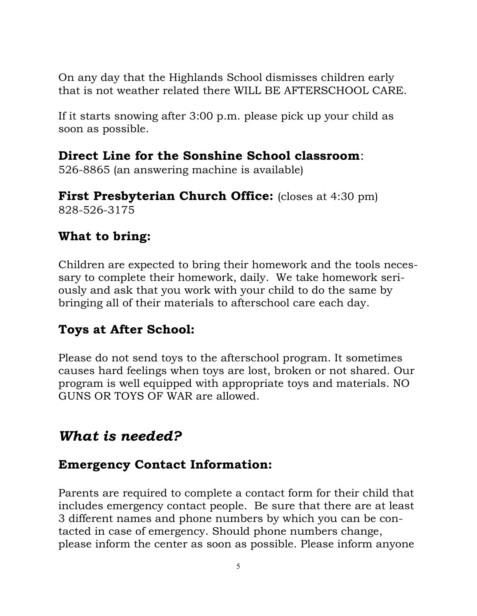On any day that the Highlands School dismisses children early that is not weather related there WILL BE AFTERSCHOOL CARE.

If it starts snowing after 3:00 p.m. please pick up your child as soon as possible.

#### **Direct Line for the Sonshine School classroom**:

526-8865 (an answering machine is available)

**First Presbyterian Church Office:** (closes at 4:30 pm) 828-526-3175

#### **What to bring:**

Children are expected to bring their homework and the tools necessary to complete their homework, daily. We take homework seriously and ask that you work with your child to do the same by bringing all of their materials to afterschool care each day.

#### **Toys at After School:**

Please do not send toys to the afterschool program. It sometimes causes hard feelings when toys are lost, broken or not shared. Our program is well equipped with appropriate toys and materials. NO GUNS OR TOYS OF WAR are allowed.

## *What is needed?*

#### **Emergency Contact Information:**

Parents are required to complete a contact form for their child that includes emergency contact people. Be sure that there are at least 3 different names and phone numbers by which you can be contacted in case of emergency. Should phone numbers change, please inform the center as soon as possible. Please inform anyone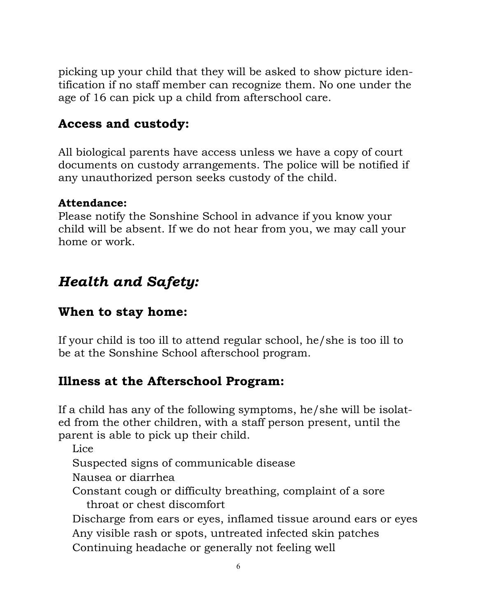picking up your child that they will be asked to show picture identification if no staff member can recognize them. No one under the age of 16 can pick up a child from afterschool care.

#### **Access and custody:**

All biological parents have access unless we have a copy of court documents on custody arrangements. The police will be notified if any unauthorized person seeks custody of the child.

#### **Attendance:**

Please notify the Sonshine School in advance if you know your child will be absent. If we do not hear from you, we may call your home or work.

# *Health and Safety:*

#### **When to stay home:**

If your child is too ill to attend regular school, he/she is too ill to be at the Sonshine School afterschool program.

#### **Illness at the Afterschool Program:**

If a child has any of the following symptoms, he/she will be isolated from the other children, with a staff person present, until the parent is able to pick up their child.

Lice

Suspected signs of communicable disease

Nausea or diarrhea

Constant cough or difficulty breathing, complaint of a sore throat or chest discomfort

Discharge from ears or eyes, inflamed tissue around ears or eyes Any visible rash or spots, untreated infected skin patches Continuing headache or generally not feeling well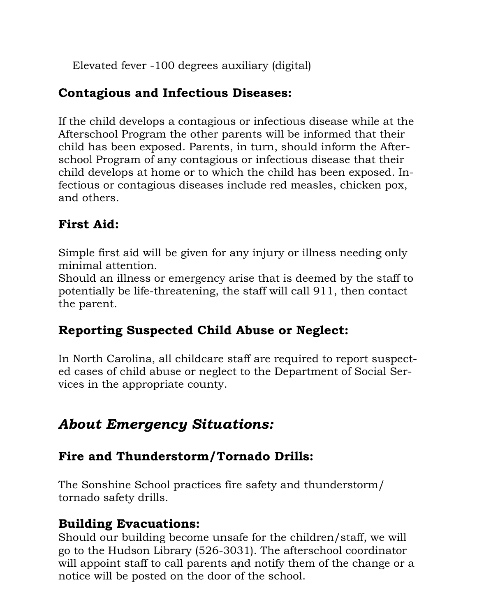Elevated fever -100 degrees auxiliary (digital)

#### **Contagious and Infectious Diseases:**

If the child develops a contagious or infectious disease while at the Afterschool Program the other parents will be informed that their child has been exposed. Parents, in turn, should inform the Afterschool Program of any contagious or infectious disease that their child develops at home or to which the child has been exposed. Infectious or contagious diseases include red measles, chicken pox, and others.

#### **First Aid:**

Simple first aid will be given for any injury or illness needing only minimal attention.

Should an illness or emergency arise that is deemed by the staff to potentially be life-threatening, the staff will call 911, then contact the parent.

#### **Reporting Suspected Child Abuse or Neglect:**

In North Carolina, all childcare staff are required to report suspected cases of child abuse or neglect to the Department of Social Services in the appropriate county.

## *About Emergency Situations:*

#### **Fire and Thunderstorm/Tornado Drills:**

The Sonshine School practices fire safety and thunderstorm/ tornado safety drills.

#### **Building Evacuations:**

7 will appoint staff to call parents and notify them of the change or a Should our building become unsafe for the children/staff, we will go to the Hudson Library (526-3031). The afterschool coordinator notice will be posted on the door of the school.